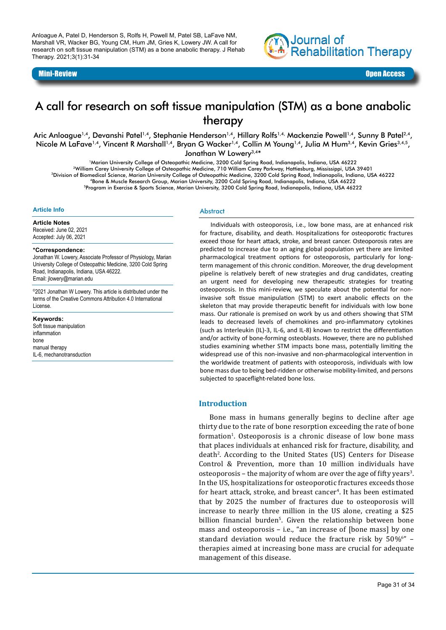Anloague A, Patel D, Henderson S, Rolfs H, Powell M, Patel SB, LaFave NM, Marshall VR, Wacker BG, Young CM, Hum JM, Gries K, Lowery JW. A call for research on soft tissue manipulation (STM) as a bone anabolic therapy. J Rehab Therapy. 2021;3(1):31-34



# A call for research on soft tissue manipulation (STM) as a bone anabolic therapy

Aric Anloague<sup>1,4</sup>, Devanshi Patel<sup>1,4</sup>, Stephanie Henderson<sup>1,4</sup>, Hillary Rolfs<sup>1,4,</sup> Mackenzie Powell<sup>1,4</sup>, Sunny B Patel<sup>2,4</sup>, Nicole M LaFave<sup>1,4</sup>, Vincent R Marshall<sup>1,4</sup>, Bryan G Wacker<sup>1,4</sup>, Collin M Young<sup>1,4</sup>, Julia M Hum<sup>3,4</sup>, Kevin Gries<sup>3,4,5</sup>, Jonathan W Lowerv<sup>3,4\*</sup>

1Marian University College of Osteopathic Medicine, 3200 Cold Spring Road, Indianapolis, Indiana, USA 46222 2William Carey University College of Osteopathic Medicine, 710 William Carey Parkway, Hattiesburg, Mississippi, USA 39401 3Division of Biomedical Science, Marian University College of Osteopathic Medicine, 3200 Cold Spring Road, Indianapolis, Indiana, USA 46222 4Bone & Muscle Research Group, Marian University, 3200 Cold Spring Road, Indianapolis, Indiana, USA 46222 5Program in Exercise & Sports Science, Marian University, 3200 Cold Spring Road, Indianapolis, Indiana, USA 46222

#### **Article Info**

**Article Notes** Received: June 02, 2021 Accepted: July 06, 2021

#### **\*Correspondence:**

Jonathan W. Lowery, Associate Professor of Physiology, Marian University College of Osteopathic Medicine, 3200 Cold Spring Road, Indianapolis, Indiana, USA 46222. Email: jlowery@marian.edu

©2021 Jonathan W Lowery. This article is distributed under the terms of the Creative Commons Attribution 4.0 International License.

**Keywords:**  Soft tissue manipulation inflammation bone manual therapy

IL-6, mechanotransduction

**Abstract** 

Individuals with osteoporosis, i.e., low bone mass, are at enhanced risk for fracture, disability, and death. Hospitalizations for osteoporotic fractures exceed those for heart attack, stroke, and breast cancer. Osteoporosis rates are predicted to increase due to an aging global population yet there are limited pharmacological treatment options for osteoporosis, particularly for longterm management of this chronic condition. Moreover, the drug development pipeline is relatively bereft of new strategies and drug candidates, creating an urgent need for developing new therapeutic strategies for treating osteoporosis. In this mini-review, we speculate about the potential for noninvasive soft tissue manipulation (STM) to exert anabolic effects on the skeleton that may provide therapeutic benefit for individuals with low bone mass. Our rationale is premised on work by us and others showing that STM leads to decreased levels of chemokines and pro-inflammatory cytokines (such as Interleukin (IL)-3, IL-6, and IL-8) known to restrict the differentiation and/or activity of bone-forming osteoblasts. However, there are no published studies examining whether STM impacts bone mass, potentially limiting the widespread use of this non-invasive and non-pharmacological intervention in the worldwide treatment of patients with osteoporosis, individuals with low bone mass due to being bed-ridden or otherwise mobility-limited, and persons subjected to spaceflight-related bone loss.

#### **Introduction**

Bone mass in humans generally begins to decline after age thirty due to the rate of bone resorption exceeding the rate of bone formation<sup>1</sup>. Osteoporosis is a chronic disease of low bone mass that places individuals at enhanced risk for fracture, disability, and death<sup>2</sup>. According to the United States (US) Centers for Disease Control & Prevention, more than 10 million individuals have osteoporosis – the majority of whom are over the age of fifty years<sup>3</sup>. In the US, hospitalizations for osteoporotic fractures exceeds those for heart attack, stroke, and breast cancer<sup>4</sup>. It has been estimated that by 2025 the number of fractures due to osteoporosis will increase to nearly three million in the US alone, creating a \$25 billion financial burden<sup>s</sup>. Given the relationship between bone mass and osteoporosis – i.e., "an increase of [bone mass] by one standard deviation would reduce the fracture risk by  $50\%$   $\degree$  – therapies aimed at increasing bone mass are crucial for adequate management of this disease.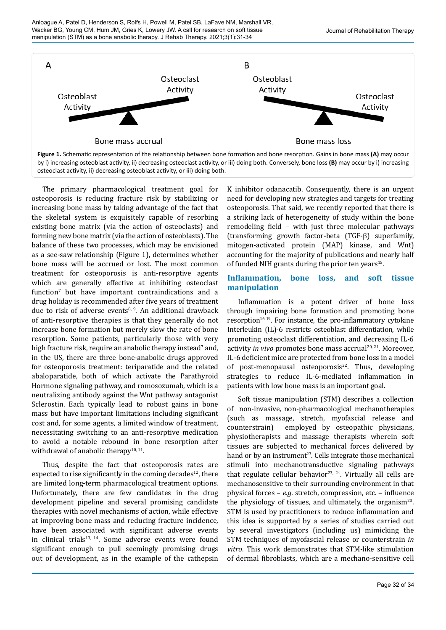

The primary pharmacological treatment goal for osteoporosis is reducing fracture risk by stabilizing or increasing bone mass by taking advantage of the fact that the skeletal system is exquisitely capable of resorbing existing bone matrix (via the action of osteoclasts) and forming new bone matrix (via the action of osteoblasts). The balance of these two processes, which may be envisioned as a see-saw relationship (Figure 1), determines whether bone mass will be accrued or lost. The most common treatment for osteoporosis is anti-resorptive agents which are generally effective at inhibiting osteoclast function<sup>7</sup> but have important contraindications and a drug holiday is recommended after five years of treatment due to risk of adverse events<sup>8, 9</sup>. An additional drawback of anti-resorptive therapies is that they generally do not increase bone formation but merely slow the rate of bone resorption. Some patients, particularly those with very high fracture risk, require an anabolic therapy instead ${}^7$  and, in the US, there are three bone-anabolic drugs approved for osteoporosis treatment: teriparatide and the related abaloparatide, both of which activate the Parathyroid Hormone signaling pathway, and romosozumab, which is a neutralizing antibody against the Wnt pathway antagonist Sclerostin. Each typically lead to robust gains in bone mass but have important limitations including significant cost and, for some agents, a limited window of treatment, necessitating switching to an anti-resorptive medication to avoid a notable rebound in bone resorption after withdrawal of anabolic therapy<sup>10, 11</sup>.

Thus, despite the fact that osteoporosis rates are expected to rise significantly in the coming decades<sup>12</sup>, there are limited long-term pharmacological treatment options. Unfortunately, there are few candidates in the drug development pipeline and several promising candidate therapies with novel mechanisms of action, while effective at improving bone mass and reducing fracture incidence, have been associated with significant adverse events in clinical trials $13, 14$ . Some adverse events were found significant enough to pull seemingly promising drugs out of development, as in the example of the cathepsin

K inhibitor odanacatib. Consequently, there is an urgent need for developing new strategies and targets for treating osteoporosis. That said, we recently reported that there is a striking lack of heterogeneity of study within the bone remodeling field – with just three molecular pathways (transforming growth factor-beta (TGF-β) superfamily, mitogen-activated protein (MAP) kinase, and Wnt) accounting for the majority of publications and nearly half of funded NIH grants during the prior ten years<sup>15</sup>.

## **Inflammation, bone loss, and soft tissue manipulation**

Inflammation is a potent driver of bone loss through impairing bone formation and promoting bone resorption $16-19$ . For instance, the pro-inflammatory cytokine Interleukin (IL)-6 restricts osteoblast differentiation, while promoting osteoclast differentiation, and decreasing IL-6 activity *in vivo* promotes bone mass accrual<sup>20, 21</sup>. Moreover, IL-6 deficient mice are protected from bone loss in a model of post-menopausal osteoporosis $22$ . Thus, developing strategies to reduce IL-6-mediated inflammation in patients with low bone mass is an important goal.

Soft tissue manipulation (STM) describes a collection of non-invasive, non-pharmacological mechanotherapies (such as massage, stretch, myofascial release and counterstrain) employed by osteopathic physicians, physiotherapists and massage therapists wherein soft tissues are subjected to mechanical forces delivered by hand or by an instrument<sup>23</sup>. Cells integrate those mechanical stimuli into mechanotransductive signaling pathways that regulate cellular behavior<sup>23, 24</sup>. Virtually all cells are mechanosensitive to their surrounding environment in that physical forces – *e.g.* stretch, compression, etc. – influence the physiology of tissues, and ultimately, the organism<sup>23</sup>. STM is used by practitioners to reduce inflammation and this idea is supported by a series of studies carried out by several investigators (including us) mimicking the STM techniques of myofascial release or counterstrain *in vitro*. This work demonstrates that STM-like stimulation of dermal fibroblasts, which are a mechano-sensitive cell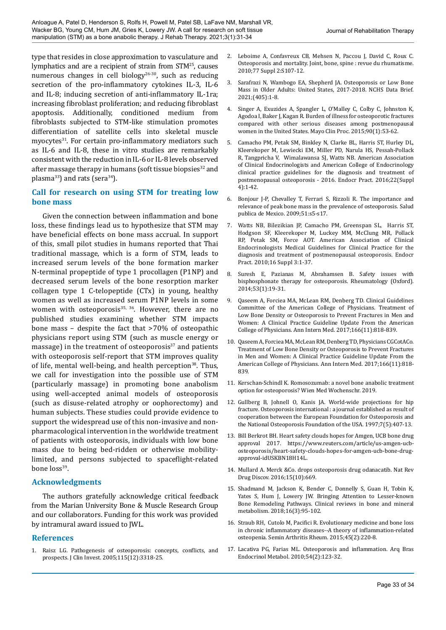type that resides in close approximation to vasculature and lymphatics and are a recipient of strain from STM25, causes numerous changes in cell biology<sup>26-30</sup>, such as reducing secretion of the pro-inflammatory cytokines IL-3, IL-6 and IL-8; inducing secretion of anti-inflammatory IL-1ra; increasing fibroblast proliferation; and reducing fibroblast apoptosis. Additionally, conditioned medium from fibroblasts subjected to STM-like stimulation promotes differentiation of satellite cells into skeletal muscle myocytes<sup>31</sup>. For certain pro-inflammatory mediators such as IL-6 and IL-8, these in vitro studies are remarkably consistent with the reduction in IL-6 or IL-8 levels observed after massage therapy in humans (soft tissue biopsies $32$  and plasma<sup>33</sup>) and rats (sera<sup>34</sup>).

## **Call for research on using STM for treating low bone mass**

Given the connection between inflammation and bone loss, these findings lead us to hypothesize that STM may have beneficial effects on bone mass accrual. In support of this, small pilot studies in humans reported that Thai traditional massage, which is a form of STM, leads to increased serum levels of the bone formation marker N-terminal propeptide of type 1 procollagen (P1NP) and decreased serum levels of the bone resorption marker collagen type 1 C-telopeptide (CTx) in young, healthy women as well as increased serum P1NP levels in some women with osteoporosis $35, 36$ . However, there are no published studies examining whether STM impacts bone mass – despite the fact that >70% of osteopathic physicians report using STM (such as muscle energy or massage) in the treatment of osteoporosis $37$  and patients with osteoporosis self-report that STM improves quality of life, mental well-being, and health perception<sup>38</sup>. Thus, we call for investigation into the possible use of STM (particularly massage) in promoting bone anabolism using well-accepted animal models of osteoporosis (such as disuse-related atrophy or oophorectomy) and human subjects. These studies could provide evidence to support the widespread use of this non-invasive and nonpharmacological intervention in the worldwide treatment of patients with osteoporosis, individuals with low bone mass due to being bed-ridden or otherwise mobilitylimited, and persons subjected to spaceflight-related bone  $loss^{39}$ .

## **Acknowledgments**

The authors gratefully acknowledge critical feedback from the Marian University Bone & Muscle Research Group and our collaborators. Funding for this work was provided by intramural award issued to JWL.

## **References**

1. Raisz LG. Pathogenesis of osteoporosis: concepts, conflicts, and prospects. J Clin Invest. 2005;115(12):3318-25.

- 2. Leboime A, Confavreux CB, Mehsen N, Paccou J, David C, Roux C. Osteoporosis and mortality. Joint, bone, spine : revue du rhumatisme. 2010;77 Suppl 2:S107-12.
- 3. Sarafrazi N, Wambogo EA, Shepherd JA. Osteoporosis or Low Bone Mass in Older Adults: United States, 2017-2018. NCHS Data Brief. 2021;(405):1-8.
- 4. Singer A, Exuzides A, Spangler L, O'Malley C, Colby C, Johnston K, Agodoa I, Baker J, Kagan R. Burden of illness for osteoporotic fractures compared with other serious diseases among postmenopausal women in the United States. Mayo Clin Proc. 2015;90(1):53-62.
- 5. Camacho PM, Petak SM, Binkley N, Clarke BL, Harris ST, Hurley DL, Kleerekoper M, Lewiecki EM, Miller PD, Narula HS, Pessah-Pollack R, Tangpricha V, Wimalawansa SJ, Watts NB. American Association of Clinical Endocrinologists and American College of Endocrinology clinical practice guidelines for the diagnosis and treatment of postmenopausal osteoporosis - 2016. Endocr Pract. 2016;22(Suppl 4):1-42.
- 6. Bonjour J-P, Chevalley T, Ferrari S, Rizzoli R. The importance and relevance of peak bone mass in the prevalence of osteoporosis. Salud publica de Mexico. 2009;51:s5-s17.
- 7. Watts NB, Bilezikian JP, Camacho PM, Greenspan SL, Harris ST, Hodgson SF, Kleerekoper M, Luckey MM, McClung MR, Pollack RP, Petak SM, Force AOT. American Association of Clinical Endocrinologists Medical Guidelines for Clinical Practice for the diagnosis and treatment of postmenopausal osteoporosis. Endocr Pract. 2010;16 Suppl 3:1-37.
- 8. Suresh E, Pazianas M, Abrahamsen B. Safety issues with bisphosphonate therapy for osteoporosis. Rheumatology (Oxford). 2014;53(1):19-31.
- 9. Qaseem A, Forciea MA, McLean RM, Denberg TD. Clinical Guidelines Committee of the American College of Physicians. Treatment of Low Bone Density or Osteoporosis to Prevent Fractures in Men and Women: A Clinical Practice Guideline Update From the American College of Physicians. Ann Intern Med. 2017;166(11):818-839.
- 10. Qaseem A, Forciea MA, McLean RM, Denberg TD, Physicians CGCotACo. Treatment of Low Bone Density or Osteoporosis to Prevent Fractures in Men and Women: A Clinical Practice Guideline Update From the American College of Physicians. Ann Intern Med. 2017;166(11):818- 839.
- 11. Kerschan-Schindl K. Romosozumab: a novel bone anabolic treatment option for osteoporosis? Wien Med Wochenschr. 2019.
- 12. Gullberg B, Johnell O, Kanis JA. World-wide projections for hip fracture. Osteoporosis international : a journal established as result of cooperation between the European Foundation for Osteoporosis and the National Osteoporosis Foundation of the USA. 1997;7(5):407-13.
- 13. Bill Berkrot BH. Heart safety clouds hopes for Amgen, UCB bone drug approval 2017. [https://www.reuters.com/article/us-amgen-ucb](https://www.reuters.com/article/us-amgen-ucb-osteoporosis/heart-safety-clouds-hopes-for-amgen-ucb-bone-drug-approval-idUSKBN18H14L)[osteoporosis/heart-safety-clouds-hopes-for-amgen-ucb-bone-drug](https://www.reuters.com/article/us-amgen-ucb-osteoporosis/heart-safety-clouds-hopes-for-amgen-ucb-bone-drug-approval-idUSKBN18H14L)[approval-idUSKBN18H14L](https://www.reuters.com/article/us-amgen-ucb-osteoporosis/heart-safety-clouds-hopes-for-amgen-ucb-bone-drug-approval-idUSKBN18H14L).
- 14. Mullard A. Merck &Co. drops osteoporosis drug odanacatib. Nat Rev Drug Discov. 2016;15(10):669.
- 15. Shadmand M, Jackson K, Bender C, Donnelly S, Guan H, Tobin K, Yates S, Hum J, Lowery JW. Bringing Attention to Lesser-known Bone Remodeling Pathways. Clinical reviews in bone and mineral metabolism. 2018;16(3):95-102.
- 16. Straub RH, Cutolo M, Pacifici R. Evolutionary medicine and bone loss in chronic inflammatory diseases--A theory of inflammation-related osteopenia. Semin Arthritis Rheum. 2015;45(2):220-8.
- 17. Lacativa PG, Farias ML. Osteoporosis and inflammation. Arq Bras Endocrinol Metabol. 2010;54(2):123-32.